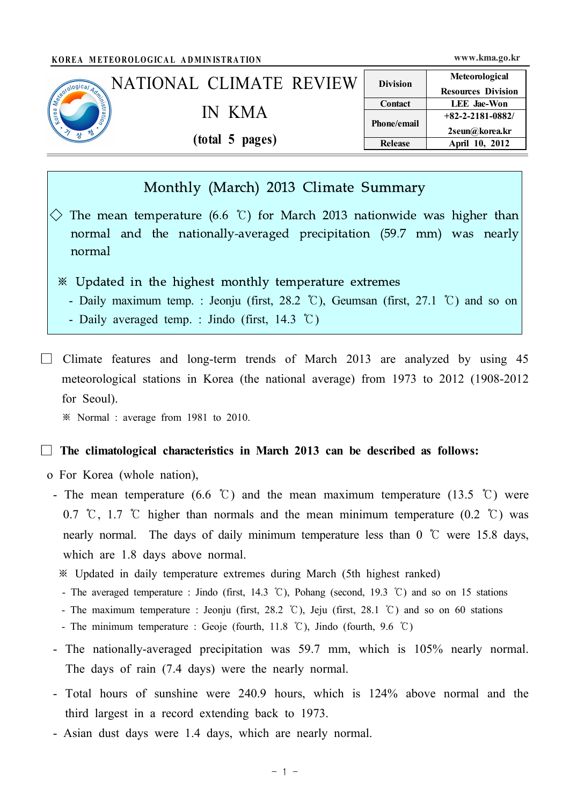|                            | KOREA METEOROLOGICAL ADMINISTRATION |                 | www.kma.go.kr                                   |
|----------------------------|-------------------------------------|-----------------|-------------------------------------------------|
|                            | NATIONAL CLIMATE REVIEW             | <b>Division</b> | Meteorological                                  |
| Secondo Dical Adviser<br>码 |                                     | Contact         | <b>Resources Division</b><br><b>LEE</b> Jae-Won |
|                            | IN KMA                              | Phone/email     | $+82 - 2 - 2181 - 0882/$                        |
|                            | (total 5 pages)                     | <b>Release</b>  | 2seun@korea.kr<br>April 10, 2012                |

# Monthly (March) 2013 Climate Summary

 $\Diamond$  The mean temperature (6.6 °C) for March 2013 nationwide was higher than normal and the nationally-averaged precipitation (59.7 mm) was nearly normal

## ※ Updated in the highest monthly temperature extremes

- Daily maximum temp. : Jeonju (first, 28.2 ℃), Geumsan (first, 27.1 ℃) and so on
- Daily averaged temp. : Jindo (first, 14.3 ℃)
- $\Box$  Climate features and long-term trends of March 2013 are analyzed by using 45 meteorological stations in Korea (the national average) from 1973 to 2012 (1908-2012 for Seoul).

※ Normal : average from 1981 to 2010.

#### □ **The climatological characteristics in March 2013 can be described as follows:**

- o For Korea (whole nation),
	- The mean temperature (6.6 °C) and the mean maximum temperature (13.5 °C) were 0.7 ℃, 1.7 ℃ higher than normals and the mean minimum temperature (0.2 ℃) was nearly normal. The days of daily minimum temperature less than  $0^{\circ}$  were 15.8 days, which are 1.8 days above normal.
		- ※ Updated in daily temperature extremes during March (5th highest ranked)
		- The averaged temperature : Jindo (first, 14.3 ℃), Pohang (second, 19.3 ℃) and so on 15 stations
		- The maximum temperature : Jeonju (first, 28.2 ℃), Jeju (first, 28.1 ℃) and so on 60 stations
		- The minimum temperature : Geoje (fourth, 11.8 ℃), Jindo (fourth, 9.6 ℃)
	- The nationally-averaged precipitation was 59.7 mm, which is 105% nearly normal. The days of rain (7.4 days) were the nearly normal.
	- Total hours of sunshine were 240.9 hours, which is 124% above normal and the third largest in a record extending back to 1973.
	- Asian dust days were 1.4 days, which are nearly normal.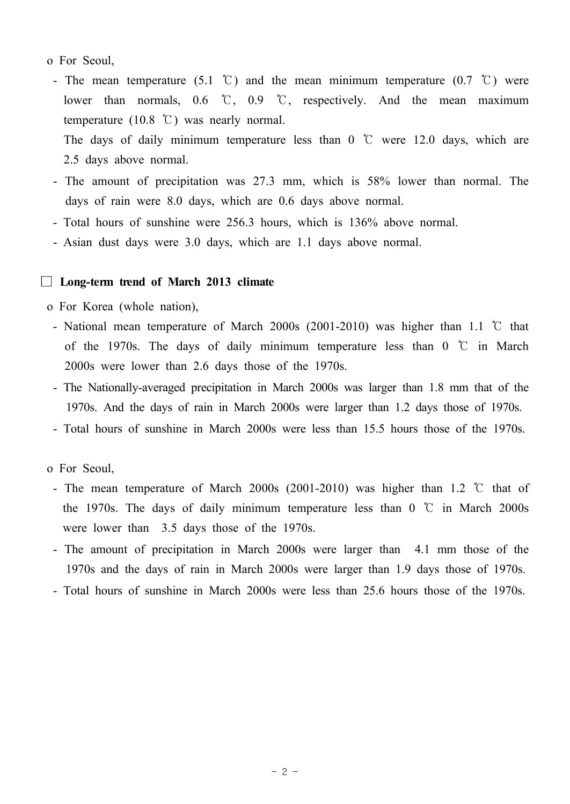## o For Seoul,

- The mean temperature (5.1 °C) and the mean minimum temperature (0.7 °C) were lower than normals, 0.6 ℃, 0.9 ℃, respectively. And the mean maximum temperature (10.8 ℃) was nearly normal.

The days of daily minimum temperature less than  $0^{\circ}$   $\mathbb{C}$  were 12.0 days, which are 2.5 days above normal.

- The amount of precipitation was 27.3 mm, which is 58% lower than normal. The days of rain were 8.0 days, which are 0.6 days above normal.
- Total hours of sunshine were 256.3 hours, which is 136% above normal.
- Asian dust days were 3.0 days, which are 1.1 days above normal.

#### □ **Long-term trend of March 2013 climate**

o For Korea (whole nation),

- National mean temperature of March 2000s (2001-2010) was higher than 1.1 ℃ that of the 1970s. The days of daily minimum temperature less than  $0^{\circ}$   $\mathbb{C}$  in March 2000s were lower than 2.6 days those of the 1970s.
- The Nationally-averaged precipitation in March 2000s was larger than 1.8 mm that of the 1970s. And the days of rain in March 2000s were larger than 1.2 days those of 1970s.
- Total hours of sunshine in March 2000s were less than 15.5 hours those of the 1970s.

o For Seoul,

- The mean temperature of March 2000s (2001-2010) was higher than 1.2 ℃ that of the 1970s. The days of daily minimum temperature less than  $0\degree\text{C}$  in March 2000s were lower than 3.5 days those of the 1970s.
- The amount of precipitation in March 2000s were larger than 4.1 mm those of the 1970s and the days of rain in March 2000s were larger than 1.9 days those of 1970s.
- Total hours of sunshine in March 2000s were less than 25.6 hours those of the 1970s.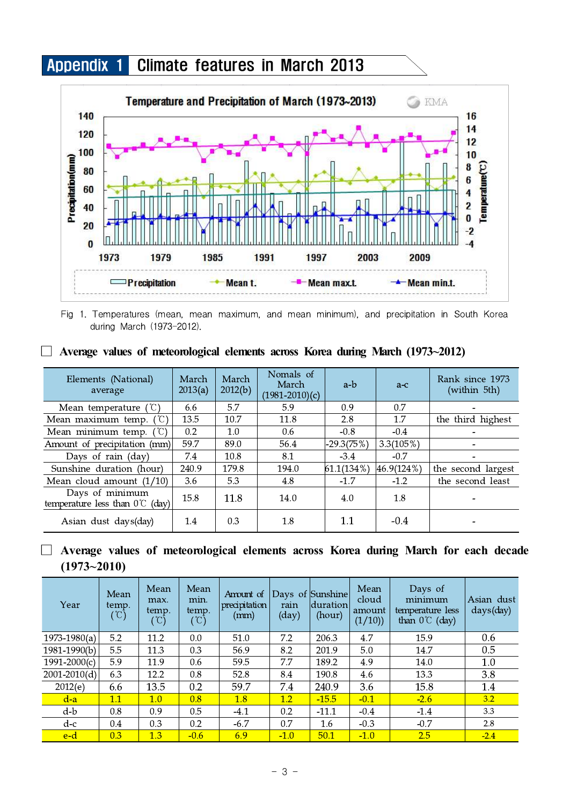# Appendix 1 Climate features in March 2013



Fig 1. Temperatures (mean, mean maximum, and mean minimum), and precipitation in South Korea during March (1973-2012).

|  |  | $\Box$ Average values of meteorological elements across Korea during March (1973~2012) |  |  |  |  |
|--|--|----------------------------------------------------------------------------------------|--|--|--|--|
|  |  |                                                                                        |  |  |  |  |

| Elements (National)<br>average                             | March<br>2013(a) | March<br>2012(b) | Nomals of<br>March<br>$(1981 - 2010)$ (c) | a-b          | $a-c$      | Rank since 1973<br>(within 5th) |
|------------------------------------------------------------|------------------|------------------|-------------------------------------------|--------------|------------|---------------------------------|
| Mean temperature                                           | 6.6              | 5.7              | 5.9                                       | 0.9          | 0.7        |                                 |
| $^{\prime}$ C)<br>Mean maximum temp.                       | 13.5             | 10.7             | 11.8                                      | 2.8          | 1.7        | the third highest               |
| Mean minimum temp. $({\mathcal{C}})$                       | 0.2              | 1.0              | 0.6                                       | $-0.8$       | $-0.4$     | $\overline{\phantom{a}}$        |
| Amount of precipitation (mm)                               | 59.7             | 89.0             | 56.4                                      | $-29.3(75%)$ | 3.3(105%)  | $\overline{\phantom{a}}$        |
| Days of rain (day)                                         | 7.4              | 10.8             | 8.1                                       | $-3.4$       | $-0.7$     |                                 |
| Sunshine duration (hour)                                   | 240.9            | 179.8            | 194.0                                     | 61.1(134%)   | 46.9(124%) | the second largest              |
| Mean cloud amount $(1/10)$                                 | 3.6              | 5.3              | 4.8                                       | $-1.7$       | $-1.2$     | the second least                |
| Days of minimum<br>temperature less than $0^{\circ}$ (day) | 15.8             | 11.8             | 14.0                                      | 4.0          | 1.8        |                                 |
| Asian dust days(day)                                       | 1.4              | 0.3              | 1.8                                       | 1.1          | $-0.4$     |                                 |

# □ **Average values of meteorological elements across Korea during March for each decade (1973~2010)**

| Year             | Mean<br>temp.<br>$^{\circ}\mathbb{C})$ | Mean<br>max.<br>temp.<br>$^{\circ}\mathbb{C})$ | Mean<br>min.<br>temp.<br>$(\mathbb{C})$ | Amount of<br>precipitation<br>(mm) | rain<br>$\rm (day)$ | Days of Sunshine<br>duration<br>(hour) | Mean<br>cloud<br>amount<br>(1/10) | Days of<br>minimum<br>temperature less<br>than $0^{\circ}$ (day) | Asian dust<br>days(day) |
|------------------|----------------------------------------|------------------------------------------------|-----------------------------------------|------------------------------------|---------------------|----------------------------------------|-----------------------------------|------------------------------------------------------------------|-------------------------|
| $1973 - 1980(a)$ | 5.2                                    | 11.2                                           | 0.0                                     | 51.0                               | 7.2                 | 206.3                                  | 4.7                               | 15.9                                                             | 0.6                     |
| $1981 - 1990(b)$ | 5.5                                    | 11.3                                           | 0.3                                     | 56.9                               | 8.2                 | 201.9                                  | 5.0                               | 14.7                                                             | 0.5                     |
| $1991 - 2000(c)$ | 5.9                                    | 11.9                                           | 0.6                                     | 59.5                               | 7.7                 | 189.2                                  | 4.9                               | 14.0                                                             | 1.0                     |
| $2001 - 2010(d)$ | 6.3                                    | 12.2                                           | 0.8                                     | 52.8                               | 8.4                 | 190.8                                  | 4.6                               | 13.3                                                             | 3.8                     |
| 2012(e)          | 6.6                                    | 13.5                                           | 0.2                                     | 59.7                               | 7.4                 | 240.9                                  | 3.6                               | 15.8                                                             | 1.4                     |
| $d-a$            | 1.1                                    | 1.0                                            | 0.8                                     | 1.8                                | 1.2                 | $-15.5$                                | $-0.1$                            | $-2.6$                                                           | 3.2                     |
| $d-b$            | 0.8                                    | 0.9                                            | 0.5                                     | $-4.1$                             | 0.2                 | $-11.1$                                | $-0.4$                            | $-1.4$                                                           | 3.3                     |
| d-c              | $0.4\,$                                | 0.3                                            | 0.2                                     | $-6.7$                             | 0.7                 | 1.6                                    | $-0.3$                            | $-0.7$                                                           | 2.8                     |
| e-d              | 0.3                                    | 1.3                                            | $-0.6$                                  | 6.9                                | $-1.0$              | 50.1                                   | $-1.0$                            | 2.5                                                              | $-2.4$                  |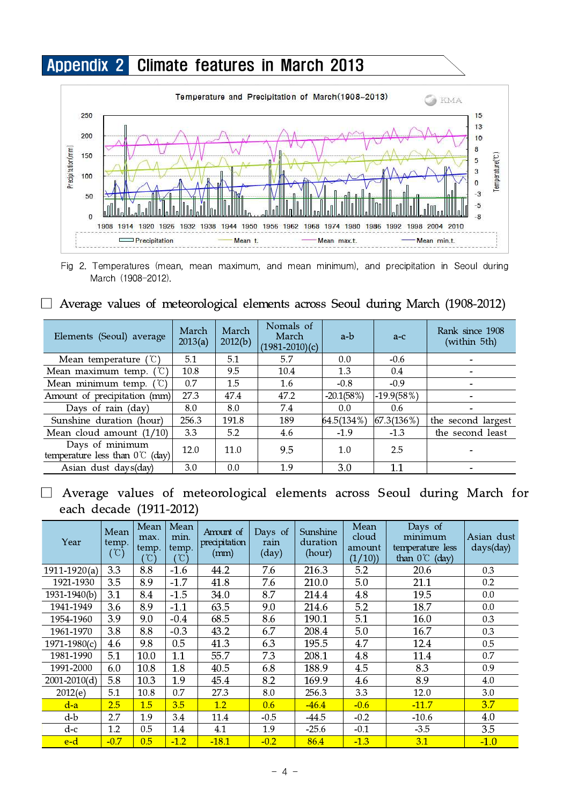

Fig 2. Temperatures (mean, mean maximum, and mean minimum), and precipitation in Seoul during March (1908-2012).

## □ Average values of meteorological elements across Seoul during March (1908-2012)

| Elements (Seoul) average                                   | March<br>2013(a) | March<br>2012(b) | Nomals of<br>March<br>$(1981-2010)$ (c) | a-b          | $a-c$          | Rank since 1908<br>(within 5th) |
|------------------------------------------------------------|------------------|------------------|-----------------------------------------|--------------|----------------|---------------------------------|
| Mean temperature $({\cal C})$                              | 5.1              | 5.1              | 5.7                                     | 0.0          | $-0.6$         |                                 |
| Mean maximum temp. $({\mathbb C})$                         | 10.8             | 9.5              | 10.4                                    | 1.3          | 0.4            |                                 |
| Mean minimum temp. $({}^{\circ}\mathbb{C})$                | 0.7              | 1.5              | 1.6                                     | $-0.8$       | $-0.9$         |                                 |
| Amount of precipitation (mm)                               | 27.3             | 47.4             | 47.2                                    | $-20.1(58%)$ | $-19.9(58%)$   |                                 |
| Days of rain (day)                                         | 8.0              | 8.0              | 7.4                                     | 0.0          | 0.6            |                                 |
| Sunshine duration (hour)                                   | 256.3            | 191.8            | 189                                     | 64.5(134%)   | $ 67.3(136\%)$ | the second largest              |
| Mean cloud amount $(1/10)$                                 | 3.3              | 5.2              | 4.6                                     | $-1.9$       | $-1.3$         | the second least                |
| Days of minimum<br>temperature less than $0^{\circ}$ (day) | 12.0             | 11.0             | 9.5                                     | 1.0          | 2.5            |                                 |
| Asian dust days(day)                                       | 3.0              | 0.0              | 1.9                                     | 3.0          | 1.1            |                                 |

# □ Average values of meteorological elements across Seoul during March for each decade (1911-2012)

| Year             | Mean<br>temp.<br>$(\mathbb{C})$ | Mean<br>max.<br>temp.<br>$^{\circ}$ C) | Mean<br>min.<br>temp.<br>$(\degree\text{C})$ | Amount of<br>precipitation<br>(mm) | Days of<br>rain<br>$\rm (day)$ | Sunshine<br>duration<br>(hour) | Mean<br>cloud<br>amount<br>(1/10) | Days of<br>minimum<br>temperature less<br>than $0^{\circ}$ (day) | Asian dust<br>$days$ (day) |
|------------------|---------------------------------|----------------------------------------|----------------------------------------------|------------------------------------|--------------------------------|--------------------------------|-----------------------------------|------------------------------------------------------------------|----------------------------|
| $1911 - 1920(a)$ | 3.3                             | 8.8                                    | $-1.6$                                       | 44.2                               | 7.6                            | 216.3                          | 5.2                               | 20.6                                                             | 0.3                        |
| 1921-1930        | 3.5                             | 8.9                                    | $-1.7$                                       | 41.8                               | 7.6                            | 210.0                          | 5.0                               | 21.1                                                             | 0.2                        |
| 1931-1940(b)     | 3.1                             | 8.4                                    | $-1.5$                                       | 34.0                               | 8.7                            | 214.4                          | 4.8                               | 19.5                                                             | 0.0                        |
| 1941-1949        | 3.6                             | 8.9                                    | $-1.1$                                       | 63.5                               | 9.0                            | 214.6                          | 5.2                               | 18.7                                                             | 0.0                        |
| 1954-1960        | 3.9                             | 9.0                                    | $-0.4$                                       | 68.5                               | 8.6                            | 190.1                          | 5.1                               | 16.0                                                             | 0.3                        |
| 1961-1970        | 3.8                             | 8.8                                    | $-0.3$                                       | 43.2                               | 6.7                            | 208.4                          | 5.0                               | 16.7                                                             | 0.3                        |
| $1971 - 1980(c)$ | 4.6                             | 9.8                                    | 0.5                                          | 41.3                               | 6.3                            | 195.5                          | 4.7                               | 12.4                                                             | 0.5                        |
| 1981-1990        | 5.1                             | 10.0                                   | 1.1                                          | 55.7                               | 7.3                            | 208.1                          | 4.8                               | 11.4                                                             | 0.7                        |
| 1991-2000        | 6.0                             | 10.8                                   | 1.8                                          | 40.5                               | 6.8                            | 188.9                          | 4.5                               | 8.3                                                              | 0.9                        |
| $2001 - 2010(d)$ | 5.8                             | 10.3                                   | 1.9                                          | 45.4                               | 8.2                            | 169.9                          | 4.6                               | 8.9                                                              | 4.0                        |
| 2012(e)          | 5.1                             | 10.8                                   | 0.7                                          | 27.3                               | 8.0                            | 256.3                          | 3.3                               | 12.0                                                             | 3.0                        |
| $d-a$            | 2.5                             | 1.5                                    | 3.5                                          | 1.2                                | 0.6                            | $-46.4$                        | $-0.6$                            | $-11.7$                                                          | 3.7                        |
| d-b              | 2.7                             | 1.9                                    | 3.4                                          | 11.4                               | $-0.5$                         | $-44.5$                        | $-0.2$                            | $-10.6$                                                          | 4.0                        |
| $d-c$            | 1.2                             | 0.5                                    | 1.4                                          | 4.1                                | 1.9                            | $-25.6$                        | $-0.1$                            | $-3.5$                                                           | 3.5                        |
| e-d              | $-0.7$                          | 0.5                                    | $-1.2$                                       | $-18.1$                            | $-0.2$                         | 86.4                           | $-1.3$                            | 3.1                                                              | $-1.0$                     |